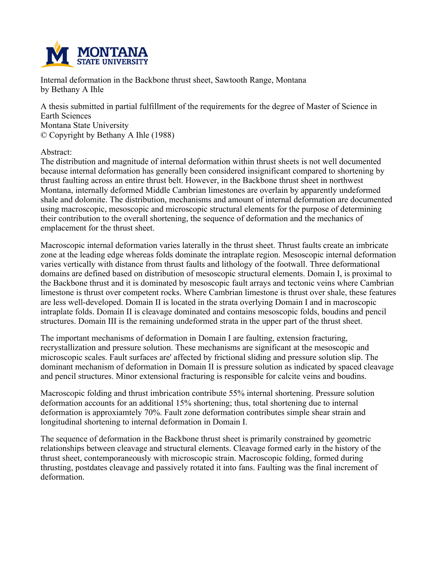

**Internal deformation in the Backbone thrust sheet, Sawtooth Range, Montana by Bethany A Ihle**

**A thesis submitted in partial fulfillment of the requirements for the degree of Master of Science in Earth Sciences Montana State University © Copyright by Bethany A Ihle (1988)**

**Abstract:**

**The distribution and magnitude of internal deformation within thrust sheets is not well documented because internal deformation has generally been considered insignificant compared to shortening by thrust faulting across an entire thrust belt. However, in the Backbone thrust sheet in northwest Montana, internally deformed Middle Cambrian limestones are overlain by apparently undeformed shale and dolomite. The distribution, mechanisms and amount of internal deformation are documented using macroscopic, mesoscopic and microscopic structural elements for the purpose of determining their contribution to the overall shortening, the sequence of deformation and the mechanics of emplacement for the thrust sheet.**

**Macroscopic internal deformation varies laterally in the thrust sheet. Thrust faults create an imbricate zone at the leading edge whereas folds dominate the intraplate region. Mesoscopic internal deformation varies vertically with distance from thrust faults and lithology of the footwall. Three deformational domains are defined based on distribution of mesoscopic structural elements. Domain I, is proximal to the Backbone thrust and it is dominated by mesoscopic fault arrays and tectonic veins where Cambrian limestone is thrust over competent rocks. Where Cambrian limestone is thrust over shale, these features are less well-developed. Domain II is located in the strata overlying Domain I and in macroscopic intraplate folds. Domain II is cleavage dominated and contains mesoscopic folds, boudins and pencil structures. Domain III is the remaining undeformed strata in the upper part of the thrust sheet.**

**The important mechanisms of deformation in Domain I are faulting, extension fracturing, recrystallization and pressure solution. These mechanisms are significant at the mesoscopic and microscopic scales. Fault surfaces are' affected by frictional sliding and pressure solution slip. The dominant mechanism of deformation in Domain II is pressure solution as indicated by spaced cleavage and pencil structures. Minor extensional fracturing is responsible for calcite veins and boudins.**

**Macroscopic folding and thrust imbrication contribute 55% internal shortening. Pressure solution deformation accounts for an additional 15% shortening; thus, total shortening due to internal deformation is approxiamtely 70%. Fault zone deformation contributes simple shear strain and longitudinal shortening to internal deformation in Domain I.**

**The sequence of deformation in the Backbone thrust sheet is primarily constrained by geometric relationships between cleavage and structural elements. Cleavage formed early in the history of the thrust sheet, contemporaneously with microscopic strain. Macroscopic folding, formed during thrusting, postdates cleavage and passively rotated it into fans. Faulting was the final increment of deformation.**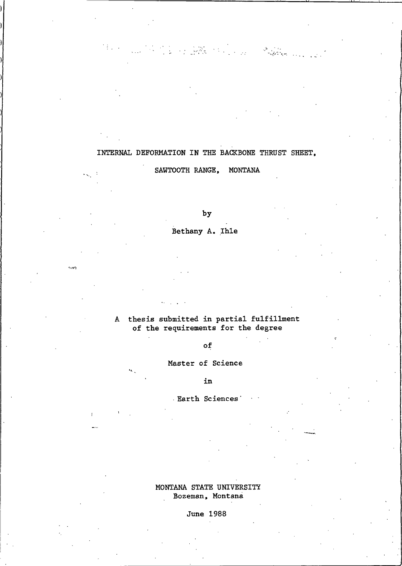## INTERNAL DEFORMATION IN THE BACKBONE THRUST SHEET,

The Company of the Company of the Company of the Company of the Company of the Company of the Company of the Company of the Company of the Company of the Company of the Company of the Company of the Company of the Company

SAWTOOTH RANGE, MONTANA

by

Bethany A. Ihle

جوړ په

### A thesis submitted in partial fulfillment of the requirements for the degree

## $\circ$ f

Master of Science

in

Earth Sciences

### MONTANA STATE UNIVERSITY Bozeman, Montana

June 1988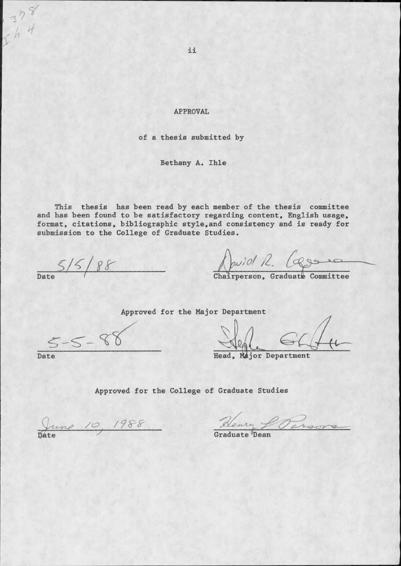**APPROVAL** 

of a thesis submitted by

Bethany A. Ihle

This thesis has been read by each member of the thesis committee and has been found to be satisfactory regarding content, English usage, format, citations, bibliographic style, and consistency and is ready for submission to the College of Graduate Studies.

 $\frac{5}{5}$ /5/88

Quilet R. Committee

Approved for the Major Department

 $5 - 5 - 8$ Date

Head, Major Department

Approved for the College of Graduate Studies

June 10, 1988

Denry L Parson

ii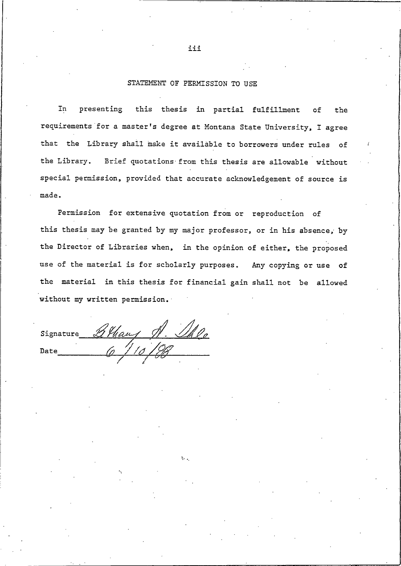#### STATEMENT OF PERMISSION TO USE

this thesis in partial fulfillment  ${\tt In}$ presenting of the requirements for a master's degree at Montana State University, I agree that the Library shall make it available to borrowers under rules of the Library. Brief quotations from this thesis are allowable without special permission, provided that accurate acknowledgement of source is made.

Permission for extensive quotation from or reproduction of this thesis may be granted by my major professor, or in his absence, by the Director of Libraries when, in the opinion of either, the proposed use of the material is for scholarly purposes. Any copying or use of the material in this thesis for financial gain shall not be allowed without my written permission.

Signature Athans 1. Ille

iii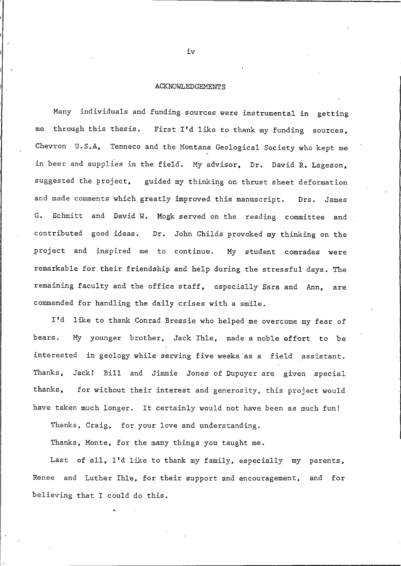#### **ACKNOWLEDGEMENTS**

Many individuals and funding sources were instrumental in getting through this thesis. First I'd like to thank my funding sources, me Chevron U.S.A, Tenneco and the Montana Geological Society who kept me in beer and supplies in the field. My advisor, Dr. David R. Lageson, suggested the project, guided my thinking on thrust sheet deformation and made comments which greatly improved this manuscript. Drs. James Schmitt and David W. Mogk served on the reading committee and G. contributed good ideas. Dr. John Childs provoked my thinking on the project and inspired me to continue. My student comrades were remarkable for their friendship and help during the stressful days. The remaining faculty and the office staff, especially Sara and Ann, are commended for handling the daily crises with a smile.

I'd like to thank Conrad Bressie who helped me overcome my fear of My younger brother, Jack Ihle, made a noble effort to bears. be interested in geology while serving five weeks as a field assistant. Jack! Bill and Jimmie Jones of Dupuyer are given special Thanks. thanks. for without their interest and generosity, this project would have taken much longer. It certainly would not have been as much fun!

Thanks, Craig, for your love and understanding.

Thanks, Monte, for the many things you taught me.

Last of all, I'd like to thank my family, especially my parents, Renee and Luther Ihle, for their support and encouragement, and for believing that I could do this.

 $iv$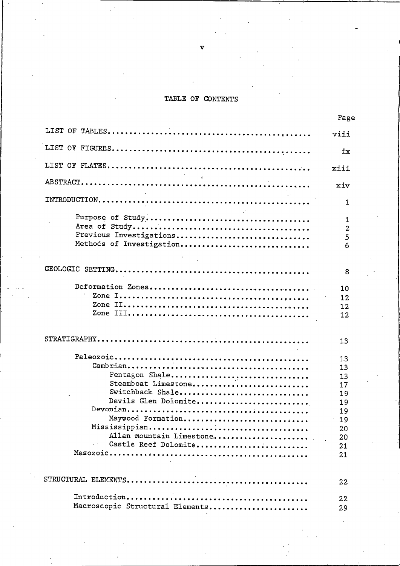### TABLE OF CONTENTS

|                                  | Page    |
|----------------------------------|---------|
|                                  | viii    |
|                                  | ix      |
|                                  | xiii    |
|                                  | xiv     |
|                                  | 1       |
|                                  | 1       |
| Previous Investigations          | 2<br>5  |
| Methods of Investigation         | 6       |
|                                  |         |
|                                  | 8       |
|                                  | 10      |
|                                  | 12      |
|                                  | $12 \,$ |
|                                  | 12      |
|                                  | 13      |
|                                  | 13      |
|                                  | 13      |
| Pentagon Shale                   | 13      |
| Steamboat Limestone              | 17      |
| Switchback Shale                 | 19      |
| Devils Glen Dolomite             | 19      |
|                                  | 19      |
| Maywood Formation                | 19      |
|                                  | 20      |
| Allan mountain Limestone         | 20      |
| Castle Reef Dolomite             | 21      |
|                                  | 21      |
|                                  | 22      |
|                                  | 22      |
| Macroscopic Structural Elements. | າດ      |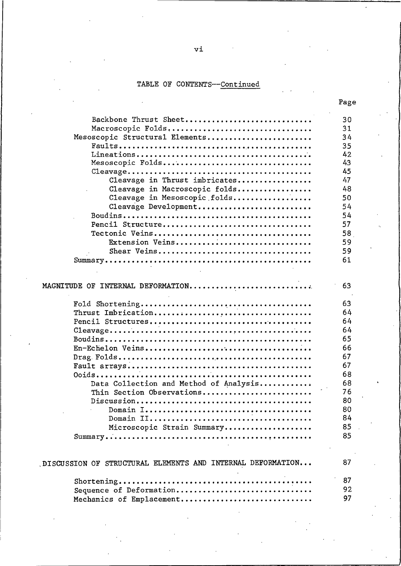# TABLE OF CONTENTS--Continued

|                                                            | Page |
|------------------------------------------------------------|------|
| Backbone Thrust Sheet                                      | 30   |
| Macroscopic Folds                                          | 31   |
| Mesoscopic Structural Elements                             | 34   |
|                                                            | 35   |
|                                                            | 42   |
| Mesoscopic Folds                                           | 43   |
|                                                            | 45   |
| Cleavage in Thrust imbricates                              | 47   |
| Cleavage in Macroscopic folds                              | 48   |
| Cleavage in Mesoscopic folds                               | 50   |
| Cleavage Development                                       | 54   |
|                                                            | 54   |
| Pencil Structure                                           | 57   |
|                                                            | 58   |
| Extension Veins                                            | 59   |
| Shear Veins                                                | 59   |
|                                                            | 61   |
|                                                            |      |
| MAGNITUDE OF INTERNAL DEFORMATION                          | 63   |
|                                                            | 63   |
|                                                            | 64   |
|                                                            | 64   |
|                                                            | 64   |
|                                                            | 65   |
|                                                            | 66   |
|                                                            | 67   |
|                                                            | 67   |
|                                                            | 68   |
| Data Collection and Method of Analysis                     | 68   |
| Thin Section Observations                                  | 76   |
|                                                            | 80   |
|                                                            | 80   |
|                                                            | 84   |
| Microscopic Strain Summary                                 | 85   |
|                                                            | 85   |
|                                                            |      |
| DISCUSSION OF STRUCTURAL ELEMENTS AND INTERNAL DEFORMATION | 87   |
|                                                            | 87   |
| Sequence of Deformation                                    | 92   |
| Mechanics of Emplacement                                   | 97   |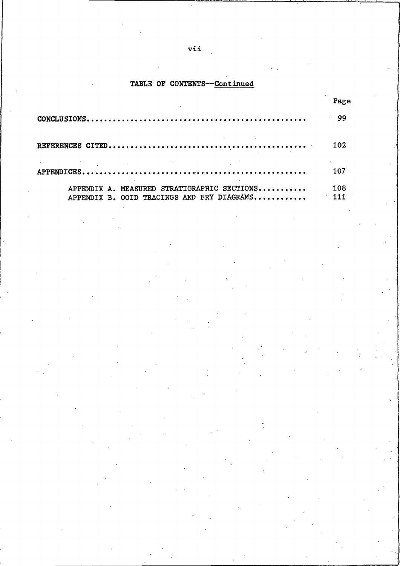## TABLE OF CONTENTS---Continued

|                                                                                           | Page       |
|-------------------------------------------------------------------------------------------|------------|
|                                                                                           | $\cdot$ 99 |
|                                                                                           | 102        |
|                                                                                           | 107        |
| APPENDIX A. MEASURED STRATIGRAPHIC SECTIONS<br>APPENDIX B. OOID TRACINGS AND FRY DIAGRAMS | 108        |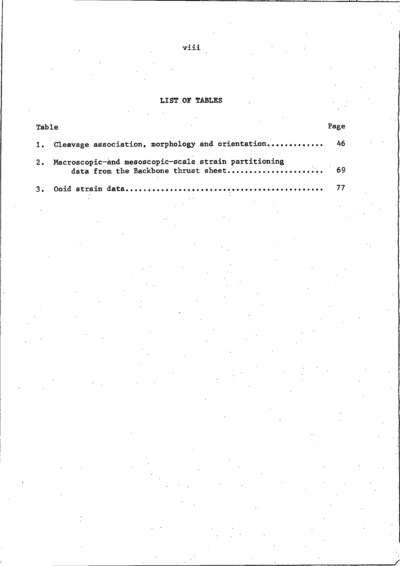## LIST OF TABLES

| Table |                                                                                             | Page |
|-------|---------------------------------------------------------------------------------------------|------|
| 1.    | Cleavage association, morphology and orientation                                            | 46   |
| 2.    | Macroscopic-and mesoscopic-scale strain partitioning<br>data from the Backbone thrust sheet | 69   |
| 3.    | Ooid strain data                                                                            | 77   |
|       |                                                                                             |      |
|       |                                                                                             |      |
|       |                                                                                             |      |
|       |                                                                                             |      |
|       |                                                                                             |      |
|       |                                                                                             |      |
|       | $\mathcal{A}^{\mathcal{A}}$ and $\mathcal{A}^{\mathcal{A}}$                                 |      |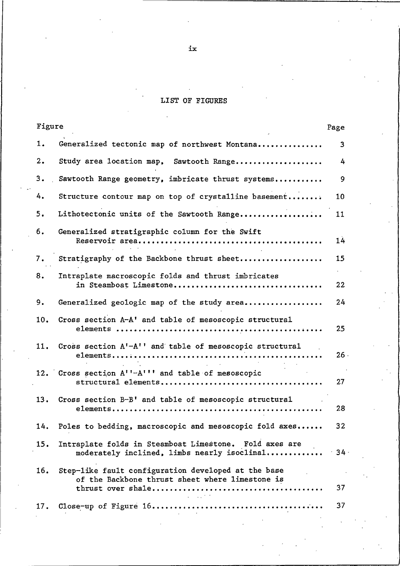# LIST OF FIGURES

| Figure                                                                                                                             | Page         |
|------------------------------------------------------------------------------------------------------------------------------------|--------------|
| 1.<br>Generalized tectonic map of northwest Montana                                                                                | 3            |
| 2.<br>Study area location map, Sawtooth Range                                                                                      | 4            |
| 3.<br>Sawtooth Range geometry, imbricate thrust systems                                                                            | 9            |
| 4.<br>Structure contour map on top of crystalline basement                                                                         | 10           |
| 5.<br>Lithotectonic units of the Sawtooth Range                                                                                    | 11           |
| 6.<br>Generalized stratigraphic column for the Swift                                                                               | 14           |
| Stratigraphy of the Backbone thrust sheet<br>7.                                                                                    | 15           |
| Intraplate macroscopic folds and thrust imbricates<br>8.<br>in Steamboat Limestone                                                 | $\sim$<br>22 |
| 9.<br>Generalized geologic map of the study area                                                                                   | 24           |
| Cross section A-A' and table of mesoscopic structural<br>10.                                                                       | 25           |
| Cross section A'-A'' and table of mesoscopic structural<br>11.                                                                     | 26.          |
| 12. Cross section A''-A''' and table of mesoscopic                                                                                 | 27           |
| Cross section B-B' and table of mesoscopic structural<br>13.                                                                       | 28           |
| Poles to bedding, macroscopic and mesoscopic fold axes<br>14.                                                                      | 32           |
| Intraplate folds in Steamboat Limestone. Fold axes are<br>15.<br>moderately inclined, limbs nearly isoclinal                       | $-34$ .      |
| Step-like fault configuration developed at the base<br>16.<br>of the Backbone thrust sheet where limestone is<br><b>Contractor</b> | 37           |
| 17.                                                                                                                                | 37           |

 $i\mathbf{x}$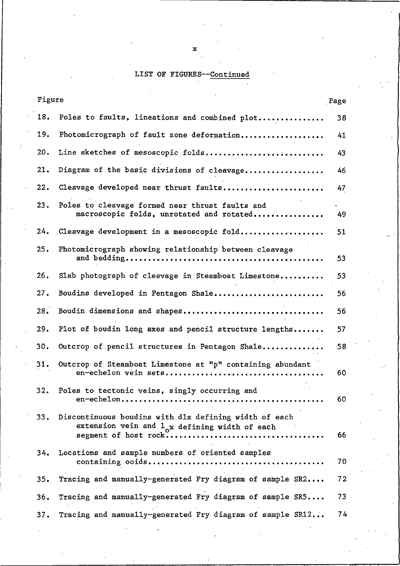## LIST OF FIGURES--Continued

 $\mathbf{x}$ 

| Figure          |                                                                                                                  | Page |
|-----------------|------------------------------------------------------------------------------------------------------------------|------|
| 18.             | Poles to faults, lineations and combined plot                                                                    | 38   |
| 19.             | Photomicrograph of fault zone deformation                                                                        | 41   |
| 20.             | Line sketches of mesoscopic folds                                                                                | 43   |
| 21.             | Diagram of the basic divisions of cleavage                                                                       | 46   |
| 22.             | Cleavage developed near thrust faults                                                                            | 47   |
| 23.             | Poles to cleavage formed near thrust faults and<br>macroscopic folds, unrotated and rotated                      | 49   |
| 24.             | Cleavage development in a mesoscopic fold                                                                        | 51   |
|                 | 25. Photomicrograph showing relationship between cleavage                                                        | 53   |
| 26.             | Slab photograph of cleavage in Steamboat Limestone                                                               | 53   |
| 27.             | Boudins developed in Pentagon Shale                                                                              | 56   |
| 28.             | Boudin dimensions and shapes                                                                                     | 56   |
| 29.             | Plot of boudin long axes and pencil structure lengths                                                            | 57   |
| 30.             | Outcrop of pencil structures in Pentagon Shale                                                                   | 58   |
| 31.             | Outcrop of Steamboat Limestone at "p" containing abundant                                                        | 60   |
| 32.             | Poles to tectonic veins, singly occurring and                                                                    | 60   |
| 33.             | Discontinuous boudins with dlx defining width of each<br>extension vein and $1_{\alpha}x$ defining width of each | 66   |
| 34.             | Locations and sample numbers of oriented samples                                                                 | 70   |
| 35.             | Tracing and manually-generated Fry diagram of sample SR2                                                         | 72   |
| 36.             | Tracing and manually-generated Fry diagram of sample SR5                                                         | 73   |
| 37 <sub>1</sub> | Tracing and manually-cenerated Fry diagram of sample SR12                                                        | 74   |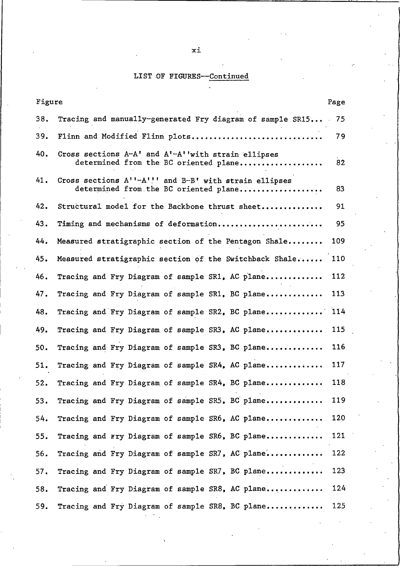# LIST OF FIGURES--Continued

| Figure |                                                                                                | Page |  |  |  |  |  |  |
|--------|------------------------------------------------------------------------------------------------|------|--|--|--|--|--|--|
| 38.    | Tracing and manually-generated Fry diagram of sample SR15                                      | 75   |  |  |  |  |  |  |
| 39.    | Flinn and Modified Flinn plots                                                                 |      |  |  |  |  |  |  |
| 40.    | Cross sections A-A' and A'-A''with strain ellipses<br>determined from the BC oriented plane    | 82   |  |  |  |  |  |  |
| 41.    | Cross sections A''-A''' and B-B' with strain ellipses<br>determined from the BC oriented plane | 83   |  |  |  |  |  |  |
| 42.    | Structural model for the Backbone thrust sheet                                                 | 91   |  |  |  |  |  |  |
| 43.    | Timing and mechanisms of deformation                                                           | 95   |  |  |  |  |  |  |
| 44.    | Measured stratigraphic section of the Pentagon Shale                                           | 109  |  |  |  |  |  |  |
| 45.    | Measured stratigraphic section of the Switchback Shale                                         | 110  |  |  |  |  |  |  |
| 46.    | Tracing and Fry Diagram of sample SR1, AC plane                                                | 112  |  |  |  |  |  |  |
| 47.    | Tracing and Fry Diagram of sample SR1, BC plane                                                | 113  |  |  |  |  |  |  |
| 48.    | Tracing and Fry Diagram of sample SR2, BC plane                                                | 114  |  |  |  |  |  |  |
| 49.    | Tracing and Fry Diagram of sample SR3, AC plane                                                | 115  |  |  |  |  |  |  |
| 50.    | Tracing and Fry Diagram of sample SR3, BC plane                                                | 116  |  |  |  |  |  |  |
| 51.    | Tracing and Fry Diagram of sample SR4, AC plane                                                | 117  |  |  |  |  |  |  |
| 52.    | Tracing and Fry Diagram of sample SR4, BC plane                                                | 118  |  |  |  |  |  |  |
| 53.    | Tracing and Fry Diagram of sample SR5, BC plane                                                | 119  |  |  |  |  |  |  |
| 54.    | Tracing and Fry Diagram of sample SR6, AC plane                                                | 120  |  |  |  |  |  |  |
| 55.    | Tracing and Fry Diagram of sample SR6, BC plane                                                | 121  |  |  |  |  |  |  |
| 56.    | Tracing and Fry Diagram of sample SR7, AC plane                                                | 122  |  |  |  |  |  |  |
| 57.    | Tracing and Fry Diagram of sample SR7, BC plane                                                | 123  |  |  |  |  |  |  |
| 58.    | Tracing and Fry Diagram of sample SR8, AC plane                                                | 124  |  |  |  |  |  |  |
| 59.    | Tracing and Fry Diagram of sample SR8, BC plane                                                | 125  |  |  |  |  |  |  |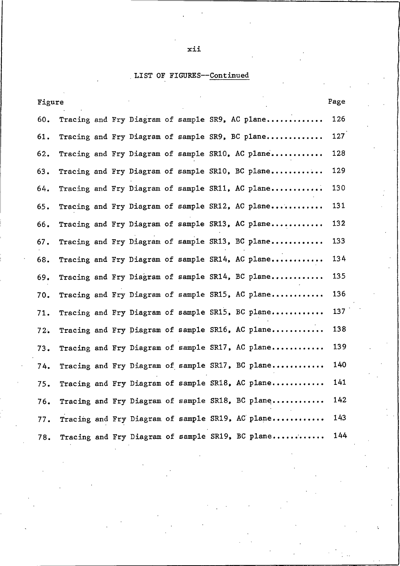# LIST OF FIGURES--Continued

| Figure |  |  |  |                                                  | Page |
|--------|--|--|--|--------------------------------------------------|------|
| 60.    |  |  |  | Tracing and Fry Diagram of sample SR9, AC plane  | 126  |
| 61.    |  |  |  | Tracing and Fry Diagram of sample SR9, BC plane  | 127  |
| 62.    |  |  |  | Tracing and Fry Diagram of sample SR10, AC plane | 128  |
| 63.    |  |  |  | Tracing and Fry Diagram of sample SR10, BC plane | 129  |
| 64.    |  |  |  | Tracing and Fry Diagram of sample SR11, AC plane | 130  |
| 65.    |  |  |  | Tracing and Fry Diagram of sample SR12, AC plane | 131  |
| 66.    |  |  |  | Tracing and Fry Diagram of sample SR13, AC plane | 132  |
| 67.    |  |  |  | Tracing and Fry Diagram of sample SR13, BC plane | 133  |
| 68.    |  |  |  | Tracing and Fry Diagram of sample SR14, AC plane | 134  |
| 69.    |  |  |  | Tracing and Fry Diagram of sample SR14, BC plane | 135  |
| 70.    |  |  |  | Tracing and Fry Diagram of sample SR15, AC plane | 136  |
| 71.    |  |  |  | Tracing and Fry Diagram of sample SR15, BC plane | 137  |
| 72.    |  |  |  | Tracing and Fry Diagram of sample SR16, AC plane | 138  |
| 73.    |  |  |  | Tracing and Fry Diagram of sample SR17, AC plane | 139  |
| 74.    |  |  |  | Tracing and Fry Diagram of sample SR17, BC plane | 140  |
| 75.    |  |  |  | Tracing and Fry Diagram of sample SR18, AC plane | 141  |
| 76.    |  |  |  | Tracing and Fry Diagram of sample SR18, BC plane | 142  |
| 77.    |  |  |  | Tracing and Fry Diagram of sample SR19, AC plane | 143  |
| 78.    |  |  |  | Tracing and Fry Diagram of sample SR19, BC plane | 144  |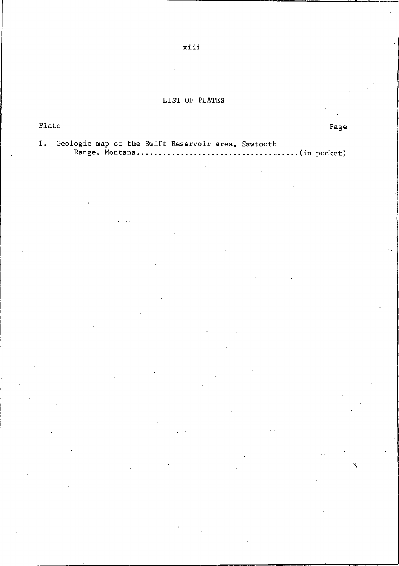## LIST OF PLATES

| Plate |  |  |  |  |  |                                                       |  | Page |
|-------|--|--|--|--|--|-------------------------------------------------------|--|------|
|       |  |  |  |  |  | 1. Geologic map of the Swift Reservoir area, Sawtooth |  |      |

Range, Montana......  $\ldots$ .... (in pocket)

xiii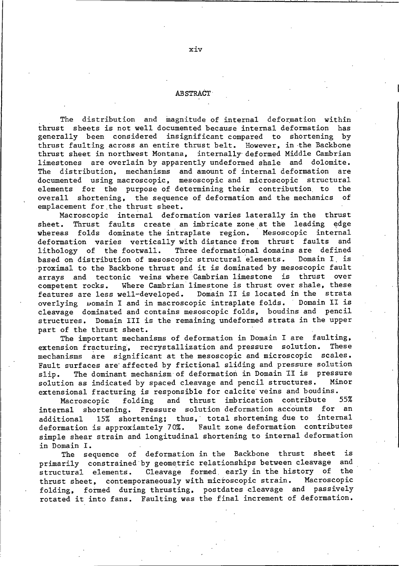### **ABSTRACT**

The distribution and magnitude of internal deformation within thrust sheets is not well documented because internal deformation has generally been considered insignificant compared to shortening by thrust faulting across an entire thrust belt. However, in the Backbone thrust sheet in northwest Montana, internally deformed Middle Cambrian limestones are overlain by apparently undeformed shale and dolomite. The distribution, mechanisms and amount of internal deformation are documented using macroscopic, mesoscopic and microscopic structural elements for the purpose of determining their contribution to the overall shortening, the sequence of deformation and the mechanics of emplacement for the thrust sheet.

Macroscopic internal deformation varies laterally in the thrust Thrust faults create an imbricate zone at the leading edge sheet. whereas folds dominate the intraplate region. Mesoscopic internal deformation varies vertically with distance from thrust faults and lithology of the footwall. Three deformational domains are defined based on distribution of mesoscopic structural elements. Domain I is proximal to the Backbone thrust and it is dominated by mesoscopic fault arrays and tectonic veins where Cambrian limestone is thrust over Where Cambrian limestone is thrust over shale, these competent rocks. Domain II is located in the strata features are less well-developed. overlying womain I and in macroscopic intraplate folds. Domain II is cleavage dominated and contains mesoscopic folds, boudins and pencil structures. Domain III is the remaining undeformed strata in the upper part of the thrust sheet.

The important mechanisms of deformation in Domain I are faulting, extension fracturing, recrystallization and pressure solution. These mechanisms are significant at the mesoscopic and microscopic scales. Fault surfaces are affected by frictional sliding and pressure solution The dominant mechanism of deformation in Domain II is pressure slip. solution as indicated by spaced cleavage and pencil structures. Minor extensional fracturing is responsible for calcite veins and boudins.

folding and thrust imbrication contribute 55% Macroscopic Pressure solution deformation accounts for internal shortening. an 15% shortening; thus, total shortening due to internal additional deformation is approxiamtely 70%. Fault zone deformation contributes simple shear strain and longitudinal shortening to internal deformation in Domain I.

The sequence of deformation in the Backbone thrust sheet is primarily constrained by geometric relationships between cleavage and Cleavage formed, early in the history of the structural elements. thrust sheet, contemporaneously with microscopic strain. Macroscopic folding, formed during thrusting, postdates cleavage and passively rotated it into fans. Faulting was the final increment of deformation.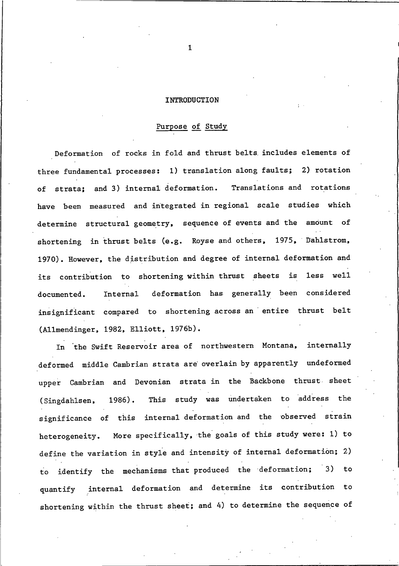#### INTRODUCTION

### Purpose of Study

Deformation of rocks in fold and thrust belts includes elements of three fundamental processes: 1) translation along faults; 2) rotation strata; and 3) internal deformation. Translations and rotations оf have been measured and integrated in regional scale studies which determine structural geometry, sequence of events and the amount of shortening in thrust belts (e.g. Royse and others, 1975, Dahlstrom, 1970). However, the distribution and degree of internal deformation and its contribution to shortening within thrust sheets is less well deformation has generally been considered Internal documented. insignificant compared to shortening across an entire thrust belt (Allmendinger, 1982, Elliott, 1976b).

In the Swift Reservoir area of northwestern Montana, internally deformed middle Cambrian strata are overlain by apparently undeformed upper Cambrian and Devonian strata in the Backbone thrust sheet This study was undertaken to address the 1986). (Singdahlsen, significance of this internal deformation and the observed strain heterogeneity. More specifically, the goals of this study were: 1) to define the variation in style and intensity of internal deformation; 2) to identify the mechanisms that produced the deformation; 3) to quantify internal deformation and determine its contribution to shortening within the thrust sheet; and 4) to determine the sequence of

 $\mathbf{1}$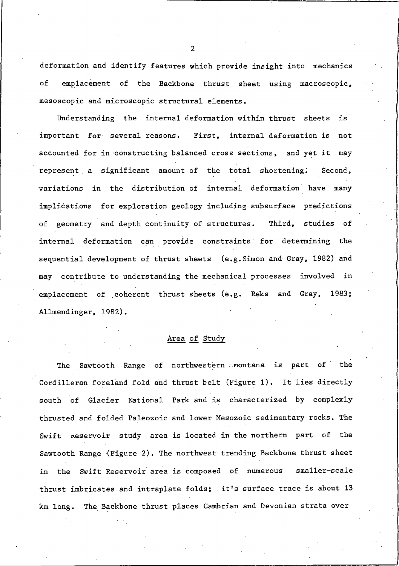deformation and identify features which provide insight into mechanics of emplacement of the Backbone thrust sheet using macroscopic, mesoscopic and microscopic structural elements.

Understanding the internal deformation within thrust sheets is important for several reasons. First, internal deformation is not accounted for in constructing balanced cross sections, and yet it may represent a significant amount of the total shortening. Second, variations in the distribution of internal deformation have many implications for exploration geology including subsurface predictions of geometry and depth continuity of structures. Third, studies of internal deformation can provide constraints for determining the sequential development of thrust sheets (e.g. Simon and Gray, 1982) and may contribute to understanding the mechanical processes involved in emplacement of coherent thrust sheets (e.g. Reks and Gray,  $1983:$ Allmendinger, 1982).

### Area of Study

Sawtooth Range of northwestern montana is part of the The Cordilleran foreland fold and thrust belt (Figure 1). It lies directly south of Glacier National Park and is characterized by complexly thrusted and folded Paleozoic and lower Mesozoic sedimentary rocks. The Swift keservoir study area is located in the northern part of the Sawtooth Range (Figure 2). The northwest trending Backbone thrust sheet in the Swift Reservoir area is composed of numerous smaller-scale thrust imbricates and intraplate folds; it's surface trace is about 13 km long. The Backbone thrust places Cambrian and Devonian strata over

 $\overline{2}$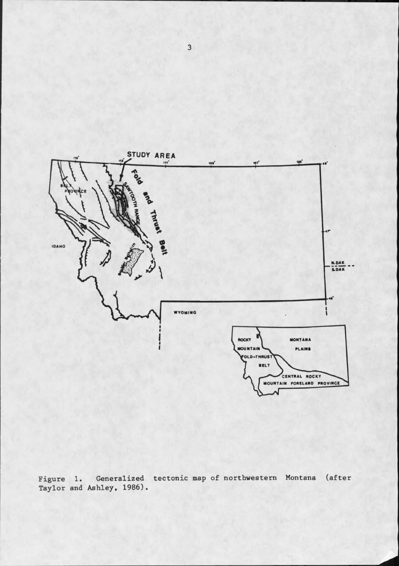

Figure 1. Generalized tectonic map of northwestern Montana (after Taylor and Ashley, 1986).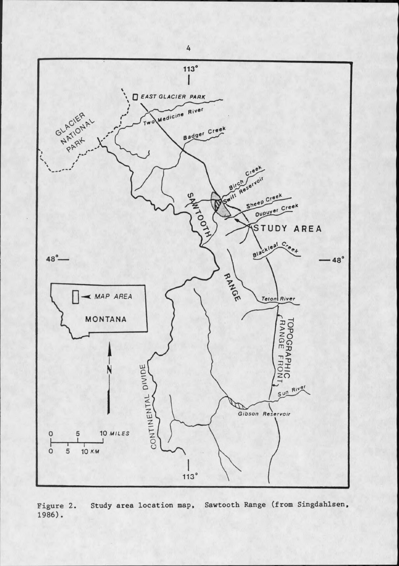

Sawtooth Range (from Singdahlsen, Study area location map, Figure 2. 1986).

 $\overline{4}$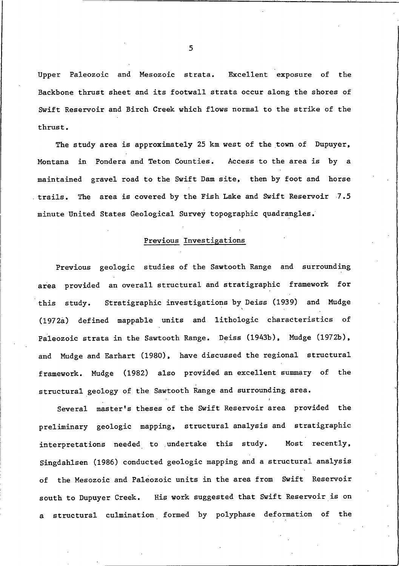Upper Paleozoic and Mesozoic strata. Excellent exposure of the Backbone thrust sheet and its footwall strata occur along the shores of Swift Reservoir and Birch Creek which flows normal to the strike of the thrust.

The study area is approximately 25 km west of the town of Dupuyer, Montana in Pondera and Teton Counties. Access to the area is by a maintained gravel road to the Swift Dam site, then by foot and horse The area is covered by the Fish Lake and Swift Reservoir 7.5 trails. minute United States Geological Survey topographic quadrangles.

### Previous Investigations

Previous geologic studies of the Sawtooth Range and surrounding area provided an overall structural and stratigraphic framework for this study. Stratigraphic investigations by Deiss (1939) and Mudge (1972a) defined mappable units and lithologic characteristics of Paleozoic strata in the Sawtooth Range. Deiss (1943b), Mudge (1972b), and Mudge and Earhart (1980), have discussed the regional structural framework. Mudge (1982) also provided an excellent summary of the structural geology of the Sawtooth Range and surrounding area.

Several master's theses of the Swift Reservoir area provided the preliminary geologic mapping, structural analysis and stratigraphic interpretations needed to undertake this study. Most recently. Singdahlsen (1986) conducted geologic mapping and a structural analysis of the Mesozoic and Paleozoic units in the area from Swift Reservoir south to Dupuyer Creek. His work suggested that Swift Reservoir is on structural culmination formed by polyphase deformation of the

5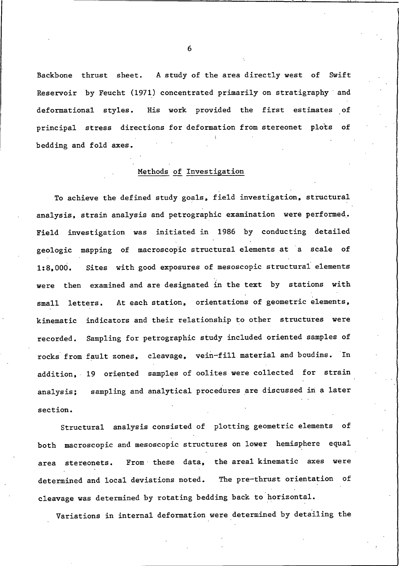Backbone thrust sheet. A study of the area directly west of Swift Reservoir by Feucht (1971) concentrated primarily on stratigraphy and deformational styles. His work provided the first estimates of principal stress directions for deformation from stereonet plots of bedding and fold axes.

## Methods of Investigation

To achieve the defined study goals, field investigation, structural analysis, strain analysis and petrographic examination were performed. Field investigation was initiated in 1986 by conducting detailed geologic mapping of macroscopic structural elements at a scale of Sites with good exposures of mesoscopic structural elements  $1:8,000.$ were then examined and are designated in the text by stations with At each station, orientations of geometric elements,  $s$ ma $11$ letters. kinematic indicators and their relationship to other structures were recorded. Sampling for petrographic study included oriented samples of rocks from fault zones, cleavage, vein-fill material and boudins. In addition, 19 oriented samples of oolites were collected for strain sampling and analytical procedures are discussed in a later analysis; section.

Structural analysis consisted of plotting geometric elements of both macroscopic and mesoscopic structures on lower hemisphere equal From these data, the areal kinematic axes were area stereonets. The pre-thrust orientation determined and local deviations noted. оf cleavage was determined by rotating bedding back to horizontal.

Variations in internal deformation were determined by detailing the

6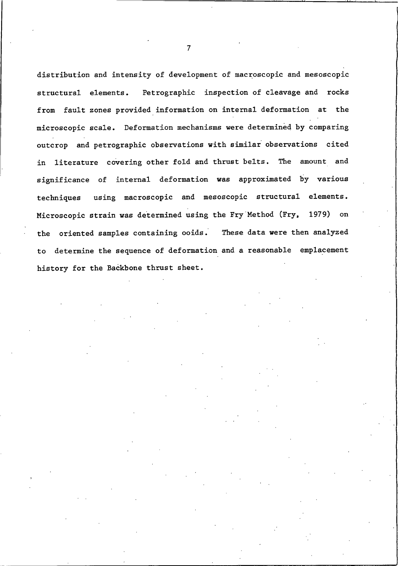distribution and intensity of development of macroscopic and mesoscopic Petrographic inspection of cleavage and rocks structural elements. from fault zones provided information on internal deformation at the microscopic scale. Deformation mechanisms were determined by comparing outcrop and petrographic observations with similar observations cited in literature covering other fold and thrust belts. The amount and significance of internal deformation was approximated by various using macroscopic and mesoscopic structural elements. techniques Microscopic strain was determined using the Fry Method (Fry, 1979) on the oriented samples containing ooids. These data were then analyzed to determine the sequence of deformation and a reasonable emplacement history for the Backbone thrust sheet.

 $\overline{7}$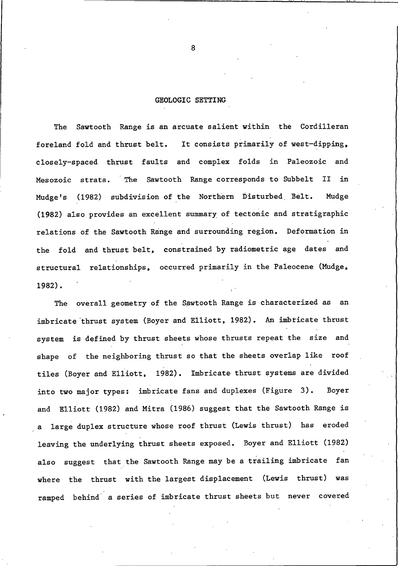#### GEOLOGIC SETTING

Sawtooth Range is an arcuate salient within the Cordilleran The It consists primarily of west-dipping, foreland fold and thrust belt. closely-spaced thrust faults and complex folds in Paleozoic and Sawtooth Range corresponds to Subbelt II in Mesozoic strata. The (1982) subdivision of the Northern Disturbed Belt. Mudge Mudge's (1982) also provides an excellent summary of tectonic and stratigraphic relations of the Sawtooth Range and surrounding region. Deformation in the fold and thrust belt, constrained by radiometric age dates and structural relationships, occurred primarily in the Paleocene (Mudge,  $1982$ .

overall geometry of the Sawtooth Range is characterized as an The imbricate thrust system (Boyer and Elliott, 1982). An imbricate thrust system is defined by thrust sheets whose thrusts repeat the size and of the neighboring thrust so that the sheets overlap like roof shape tiles (Boyer and Elliott, 1982). Imbricate thrust systems are divided into two major types: imbricate fans and duplexes (Figure 3). Bover and Elliott (1982) and Mitra (1986) suggest that the Sawtooth Range is a large duplex structure whose roof thrust (Lewis thrust) has eroded leaving the underlying thrust sheets exposed. Boyer and Elliott (1982) also suggest that the Sawtooth Range may be a trailing imbricate fan where the thrust with the largest displacement (Lewis thrust) was ramped behind a series of imbricate thrust sheets but never covered

8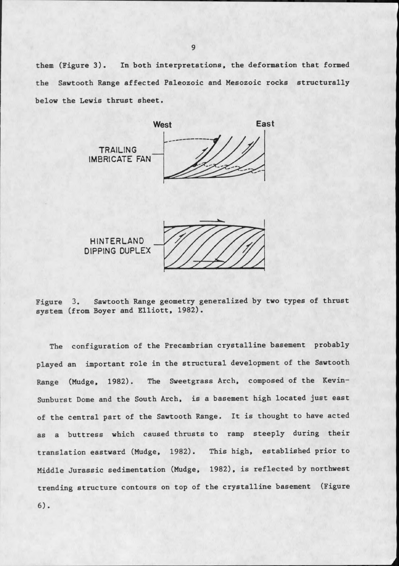them (Figure 3). In both interpretations, the deformation that formed the Sawtooth Range affected Paleozoic and Mesozoic rocks structurally below the Lewis thrust sheet.







The configuration of the Precambrian crystalline basement probably played an important role in the structural development of the Sawtooth Range (Mudge, 1982). The Sweetgrass Arch, composed of the Kevin-Sunburst Dome and the South Arch, is a basement high located just east of the central part of the Sawtooth Range. It is thought to have acted as a buttress which caused thrusts to ramp steeply during their translation eastward (Mudge, 1982). This high, established prior to Middle Jurassic sedimentation (Mudge, 1982), is reflected by northwest trending structure contours on top of the crystalline basement (Figure  $6)$ .